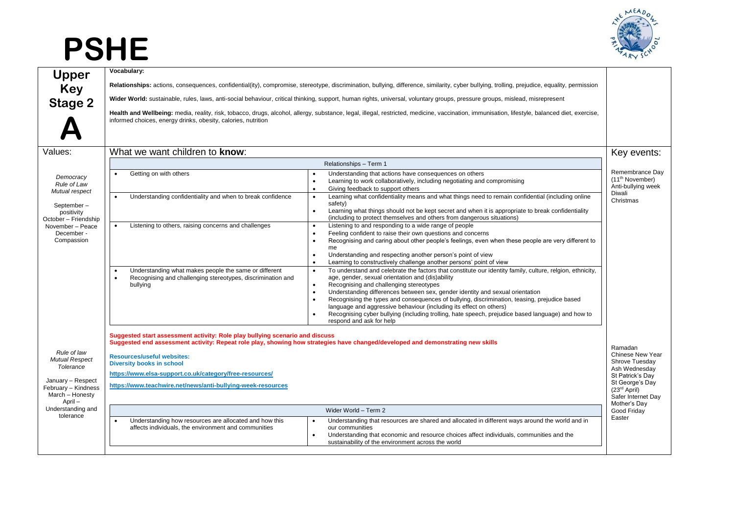## **PSHE**



|                                                   | Vocabulary:                                                                                                                                                                                                                                                                                                                                                                                                                                                                                                                                                                                                                                                                                                                                                    |                                                                         |
|---------------------------------------------------|----------------------------------------------------------------------------------------------------------------------------------------------------------------------------------------------------------------------------------------------------------------------------------------------------------------------------------------------------------------------------------------------------------------------------------------------------------------------------------------------------------------------------------------------------------------------------------------------------------------------------------------------------------------------------------------------------------------------------------------------------------------|-------------------------------------------------------------------------|
| Upper<br>Key<br>Stage 2                           | Relationships: actions, consequences, confidential(ity), compromise, stereotype, discrimination, bullying, difference, similarity, cyber bullying, trolling, prejudice, equality, permission                                                                                                                                                                                                                                                                                                                                                                                                                                                                                                                                                                   |                                                                         |
|                                                   | Wider World: sustainable, rules, laws, anti-social behaviour, critical thinking, support, human rights, universal, voluntary groups, pressure groups, mislead, misrepresent                                                                                                                                                                                                                                                                                                                                                                                                                                                                                                                                                                                    |                                                                         |
|                                                   | Health and Wellbeing: media, reality, risk, tobacco, drugs, alcohol, allergy, substance, legal, illegal, restricted, medicine, vaccination, immunisation, lifestyle, balanced diet, exercise,<br>informed choices, energy drinks, obesity, calories, nutrition                                                                                                                                                                                                                                                                                                                                                                                                                                                                                                 |                                                                         |
| Values:                                           | What we want children to know:                                                                                                                                                                                                                                                                                                                                                                                                                                                                                                                                                                                                                                                                                                                                 | Key events:                                                             |
|                                                   | Relationships - Term 1                                                                                                                                                                                                                                                                                                                                                                                                                                                                                                                                                                                                                                                                                                                                         |                                                                         |
| Democracy<br>Rule of Law<br>Mutual respect        | Getting on with others<br>Understanding that actions have consequences on others<br>Learning to work collaboratively, including negotiating and compromising<br>$\bullet$<br>Giving feedback to support others<br>$\bullet$                                                                                                                                                                                                                                                                                                                                                                                                                                                                                                                                    | Remembrance Day<br>(11 <sup>th</sup> November)<br>Anti-bullying week    |
| September-<br>positivity<br>October - Friendship  | Learning what confidentiality means and what things need to remain confidential (including online<br>Understanding confidentiality and when to break confidence<br>safety)<br>Learning what things should not be kept secret and when it is appropriate to break confidentiality<br>$\bullet$<br>(including to protect themselves and others from dangerous situations)                                                                                                                                                                                                                                                                                                                                                                                        | Diwali<br>Christmas                                                     |
| November - Peace<br>December -<br>Compassion      | Listening to and responding to a wide range of people<br>Listening to others, raising concerns and challenges<br>Feeling confident to raise their own questions and concerns<br>Recognising and caring about other people's feelings, even when these people are very different to<br>me<br>Understanding and respecting another person's point of view<br>Learning to constructively challenge another persons' point of view                                                                                                                                                                                                                                                                                                                                 |                                                                         |
|                                                   | To understand and celebrate the factors that constitute our identity family, culture, relgion, ethnicity,<br>Understanding what makes people the same or different<br>age, gender, sexual orientation and (dis)ability<br>Recognising and challenging stereotypes, discrimination and<br>Recognising and challenging stereotypes<br>bullying<br>Understanding differences between sex, gender identity and sexual orientation<br>$\bullet$<br>Recognising the types and consequences of bullying, discrimination, teasing, prejudice based<br>$\bullet$<br>language and aggressive behaviour (including its effect on others)<br>Recognising cyber bullying (including trolling, hate speech, prejudice based language) and how to<br>respond and ask for help |                                                                         |
|                                                   | Suggested start assessment activity: Role play bullying scenario and discuss<br>Suggested end assessment activity: Repeat role play, showing how strategies have changed/developed and demonstrating new skills                                                                                                                                                                                                                                                                                                                                                                                                                                                                                                                                                | Ramadan                                                                 |
| Rule of law<br><b>Mutual Respect</b><br>Tolerance | <b>Resources/useful websites:</b><br><b>Diversity books in school</b>                                                                                                                                                                                                                                                                                                                                                                                                                                                                                                                                                                                                                                                                                          | Chinese New Year<br>Shrove Tuesday<br>Ash Wednesday                     |
| January - Respect                                 | https://www.elsa-support.co.uk/category/free-resources/                                                                                                                                                                                                                                                                                                                                                                                                                                                                                                                                                                                                                                                                                                        | St Patrick's Day                                                        |
| February - Kindness<br>March - Honesty<br>April - | https://www.teachwire.net/news/anti-bullying-week-resources                                                                                                                                                                                                                                                                                                                                                                                                                                                                                                                                                                                                                                                                                                    | St George's Day<br>$(23rd$ April)<br>Safer Internet Day<br>Mother's Day |
| Understanding and<br>tolerance                    | Wider World - Term 2                                                                                                                                                                                                                                                                                                                                                                                                                                                                                                                                                                                                                                                                                                                                           | Good Friday                                                             |
|                                                   | Understanding how resources are allocated and how this<br>Understanding that resources are shared and allocated in different ways around the world and in<br>affects individuals, the environment and communities<br>our communities<br>Understanding that economic and resource choices affect individuals, communities and the<br>$\bullet$<br>sustainability of the environment across the world                                                                                                                                                                                                                                                                                                                                                            | Easter                                                                  |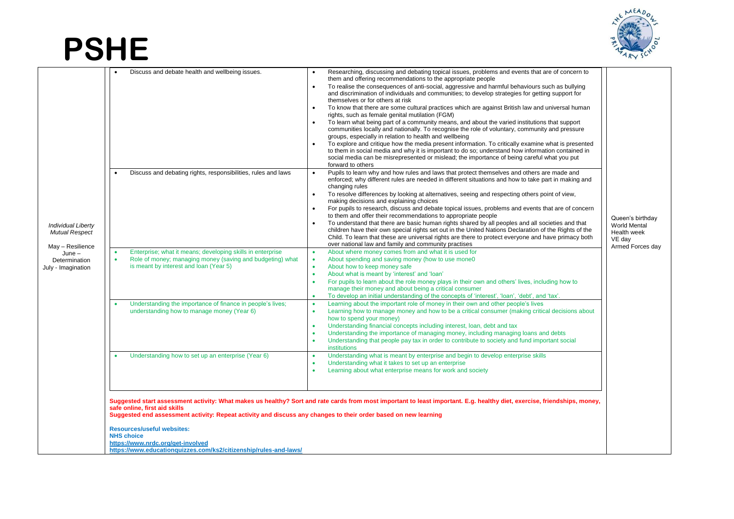## **PSHE**



|  | safe online, first aid skills<br>Suggested end assessment activity: Repeat activity and discuss any changes to their order based on new learning<br><b>Resources/useful websites:</b><br><b>NHS choice</b><br>https://www.nrdc.org/get-involved | <b>Individual Liberty</b><br><b>Mutual Respect</b><br>May - Resilience<br>$June -$<br>Determination<br>July - Imagination | Discuss and debate health and wellbeing issues.<br>Discuss and debating rights, responsibilities, rules and laws<br>Enterprise; what it means; developing skills in enterprise<br>Role of money; managing money (saving and budgeting) what<br>is meant by interest and loan (Year 5)<br>Understanding the importance of finance in people's lives;<br>understanding how to manage money (Year 6)<br>Understanding how to set up an enterprise (Year 6) | Researching, discussing and debating topical issues, problems and events that are of concern to<br>them and offering recommendations to the appropriate people<br>To realise the consequences of anti-social, aggressive and harmful behaviours such as bullying<br>$\bullet$<br>and discrimination of individuals and communities; to develop strategies for getting support for<br>themselves or for others at risk<br>To know that there are some cultural practices which are against British law and universal human<br>rights, such as female genital mutilation (FGM)<br>To learn what being part of a community means, and about the varied institutions that support<br>communities locally and nationally. To recognise the role of voluntary, community and pressure<br>groups, especially in relation to health and wellbeing<br>To explore and critique how the media present information. To critically examine what is presented<br>to them in social media and why it is important to do so; understand how information contained in<br>social media can be misrepresented or mislead; the importance of being careful what you put<br>forward to others<br>Pupils to learn why and how rules and laws that protect themselves and others are made and<br>enforced; why different rules are needed in different situations and how to take part in making and<br>changing rules<br>To resolve differences by looking at alternatives, seeing and respecting others point of view,<br>$\bullet$<br>making decisions and explaining choices<br>For pupils to research, discuss and debate topical issues, problems and events that are of concern<br>to them and offer their recommendations to appropriate people<br>To understand that there are basic human rights shared by all peoples and all societies and that<br>children have their own special rights set out in the United Nations Declaration of the Rights of the<br>Child. To learn that these are universal rights are there to protect everyone and have primacy both<br>over national law and family and community practises<br>About where money comes from and what it is used for<br>About spending and saving money (how to use mone0<br>$\bullet$<br>About how to keep money safe<br>$\bullet$<br>About what is meant by 'interest' and 'loan'<br>$\bullet$<br>For pupils to learn about the role money plays in their own and others' lives, including how to<br>manage their money and about being a critical consumer<br>To develop an initial understanding of the concepts of 'interest', 'loan', 'debt', and 'tax'.<br>٠<br>Learning about the important role of money in their own and other people's lives<br>Learning how to manage money and how to be a critical consumer (making critical decisions about<br>$\bullet$<br>how to spend your money)<br>Understanding financial concepts including interest, loan, debt and tax<br>٠<br>Understanding the importance of managing money, including managing loans and debts<br>$\bullet$<br>Understanding that people pay tax in order to contribute to society and fund important social<br>$\bullet$<br><b>institutions</b><br>Understanding what is meant by enterprise and begin to develop enterprise skills<br>$\bullet$<br>Understanding what it takes to set up an enterprise<br>$\bullet$<br>Learning about what enterprise means for work and society<br>$\bullet$<br>Suggested start assessment activity: What makes us healthy? Sort and rate cards from most important to least important. E.g. healthy diet, exercise, friendships, money, | Queen's birthday<br>World Mental<br>Health week<br>VE dav<br>Armed Forces day |
|--|-------------------------------------------------------------------------------------------------------------------------------------------------------------------------------------------------------------------------------------------------|---------------------------------------------------------------------------------------------------------------------------|---------------------------------------------------------------------------------------------------------------------------------------------------------------------------------------------------------------------------------------------------------------------------------------------------------------------------------------------------------------------------------------------------------------------------------------------------------|--------------------------------------------------------------------------------------------------------------------------------------------------------------------------------------------------------------------------------------------------------------------------------------------------------------------------------------------------------------------------------------------------------------------------------------------------------------------------------------------------------------------------------------------------------------------------------------------------------------------------------------------------------------------------------------------------------------------------------------------------------------------------------------------------------------------------------------------------------------------------------------------------------------------------------------------------------------------------------------------------------------------------------------------------------------------------------------------------------------------------------------------------------------------------------------------------------------------------------------------------------------------------------------------------------------------------------------------------------------------------------------------------------------------------------------------------------------------------------------------------------------------------------------------------------------------------------------------------------------------------------------------------------------------------------------------------------------------------------------------------------------------------------------------------------------------------------------------------------------------------------------------------------------------------------------------------------------------------------------------------------------------------------------------------------------------------------------------------------------------------------------------------------------------------------------------------------------------------------------------------------------------------------------------------------------------------------------------------------------------------------------------------------------------------------------------------------------------------------------------------------------------------------------------------------------------------------------------------------------------------------------------------------------------------------------------------------------------------------------------------------------------------------------------------------------------------------------------------------------------------------------------------------------------------------------------------------------------------------------------------------------------------------------------------------------------------------------------------------------------------------------------------------------------------------------------------------------------------------------------------------------------------------------------------------------------------------------------------------------------------------------------------------------------------------------------------------------------------------------------------------------------------------------------------------------------------------------------------------|-------------------------------------------------------------------------------|
|--|-------------------------------------------------------------------------------------------------------------------------------------------------------------------------------------------------------------------------------------------------|---------------------------------------------------------------------------------------------------------------------------|---------------------------------------------------------------------------------------------------------------------------------------------------------------------------------------------------------------------------------------------------------------------------------------------------------------------------------------------------------------------------------------------------------------------------------------------------------|--------------------------------------------------------------------------------------------------------------------------------------------------------------------------------------------------------------------------------------------------------------------------------------------------------------------------------------------------------------------------------------------------------------------------------------------------------------------------------------------------------------------------------------------------------------------------------------------------------------------------------------------------------------------------------------------------------------------------------------------------------------------------------------------------------------------------------------------------------------------------------------------------------------------------------------------------------------------------------------------------------------------------------------------------------------------------------------------------------------------------------------------------------------------------------------------------------------------------------------------------------------------------------------------------------------------------------------------------------------------------------------------------------------------------------------------------------------------------------------------------------------------------------------------------------------------------------------------------------------------------------------------------------------------------------------------------------------------------------------------------------------------------------------------------------------------------------------------------------------------------------------------------------------------------------------------------------------------------------------------------------------------------------------------------------------------------------------------------------------------------------------------------------------------------------------------------------------------------------------------------------------------------------------------------------------------------------------------------------------------------------------------------------------------------------------------------------------------------------------------------------------------------------------------------------------------------------------------------------------------------------------------------------------------------------------------------------------------------------------------------------------------------------------------------------------------------------------------------------------------------------------------------------------------------------------------------------------------------------------------------------------------------------------------------------------------------------------------------------------------------------------------------------------------------------------------------------------------------------------------------------------------------------------------------------------------------------------------------------------------------------------------------------------------------------------------------------------------------------------------------------------------------------------------------------------------------------------------------------|-------------------------------------------------------------------------------|